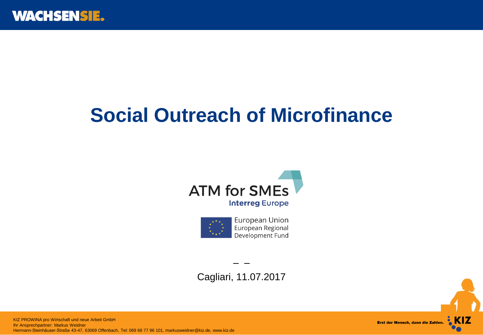# **Social Outreach of Microfinance**





Cagliari, 11.07.2017

– –

 KIZ AG Hermann-Steinhäuser-Straße 43-47, 63069 Offenbach, Tel: 069 66 77 96 101, markusweidner@kiz.de, www.kiz.deKIZ PROWINA pro Wirtschaft und neue Arbeit GmbH Ihr Ansprechpartner: Markus Weidner

Erst der Mensch, dann die Zahlen. AKIZ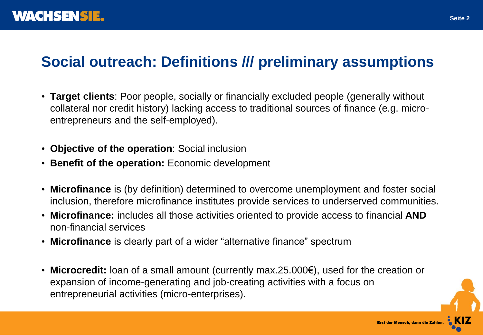# **Social outreach: Definitions /// preliminary assumptions**

- **Target clients**: Poor people, socially or financially excluded people (generally without collateral nor credit history) lacking access to traditional sources of finance (e.g. microentrepreneurs and the self-employed).
- **Objective of the operation**: Social inclusion
- **Benefit of the operation:** Economic development
- **Microfinance** is (by definition) determined to overcome unemployment and foster social inclusion, therefore microfinance institutes provide services to underserved communities.
- **Microfinance:** includes all those activities oriented to provide access to financial **AND** non-financial services
- **Microfinance** is clearly part of a wider "alternative finance" spectrum
- **Microcredit:** loan of a small amount (currently max.25.000€), used for the creation or expansion of income-generating and job-creating activities with a focus on entrepreneurial activities (micro-enterprises).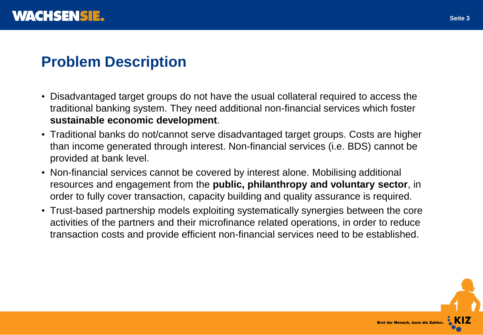# **Problem Description**

- Disadvantaged target groups do not have the usual collateral required to access the traditional banking system. They need additional non-financial services which foster **sustainable economic development**.
- Traditional banks do not/cannot serve disadvantaged target groups. Costs are higher than income generated through interest. Non-financial services (i.e. BDS) cannot be provided at bank level.
- Non-financial services cannot be covered by interest alone. Mobilising additional resources and engagement from the **public, philanthropy and voluntary sector**, in order to fully cover transaction, capacity building and quality assurance is required.
- Trust-based partnership models exploiting systematically synergies between the core activities of the partners and their microfinance related operations, in order to reduce transaction costs and provide efficient non-financial services need to be established.

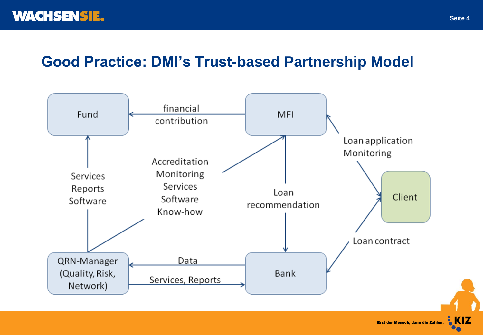### **Good Practice: DMI's Trust-based Partnership Model**



Erst der Mensch, dann die Zahlen. CKIZ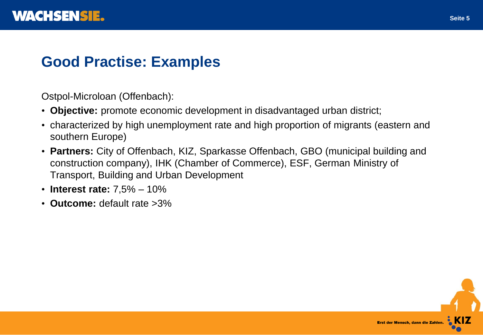# **Good Practise: Examples**

Ostpol-Microloan (Offenbach):

- **Objective:** promote economic development in disadvantaged urban district;
- characterized by high unemployment rate and high proportion of migrants (eastern and southern Europe)
- **Partners:** City of Offenbach, KIZ, Sparkasse Offenbach, GBO (municipal building and construction company), IHK (Chamber of Commerce), ESF, German Ministry of Transport, Building and Urban Development
- **Interest rate:** 7,5% 10%
- **Outcome:** default rate >3%

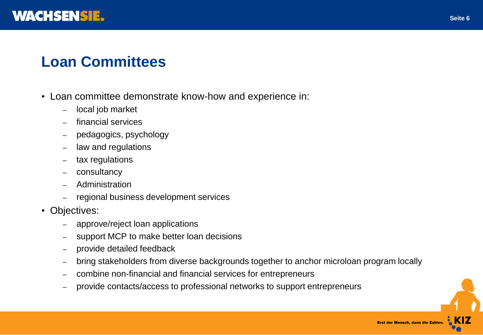

#### **Loan Committees**

- Loan committee demonstrate know-how and experience in:
	- local job market
	- financial services
	- pedagogics, psychology
	- law and regulations
	- tax regulations
	- consultancy
	- Administration
	- regional business development services
- Objectives:
	- approve/reject loan applications
	- support MCP to make better loan decisions
	- provide detailed feedback
	- bring stakeholders from diverse backgrounds together to anchor microloan program locally
	- combine non-financial and financial services for entrepreneurs
	- provide contacts/access to professional networks to support entrepreneurs